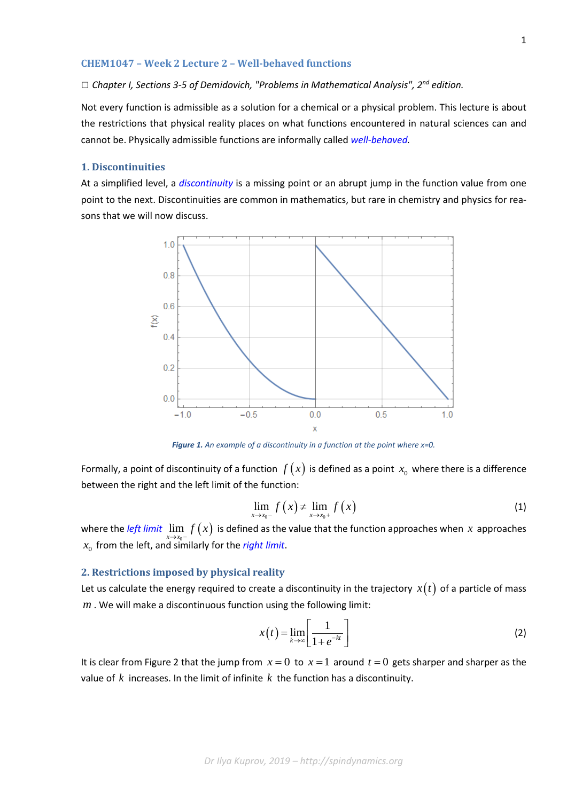#### **CHEM1047 – Week 2 Lecture 2 – Well-behaved functions**

### *□ Chapter I, Sections 3-5 of Demidovich, "Problems in Mathematical Analysis", 2nd edition.*

Not every function is admissible as a solution for a chemical or a physical problem. This lecture is about the restrictions that physical reality places on what functions encountered in natural sciences can and cannot be. Physically admissible functions are informally called *[well-behaved.](http://mathworld.wolfram.com/ParticularlyWell-BehavedFunctions.html)*

# **1. Discontinuities**

At a simplified level, a *[discontinuity](https://en.wikipedia.org/wiki/Classification_of_discontinuities)* is a missing point or an abrupt jump in the function value from one point to the next. Discontinuities are common in mathematics, but rare in chemistry and physics for reasons that we will now discuss.



*Figure 1. An example of a discontinuity in a function at the point where x=0.*

Formally, a point of discontinuity of a function  $f(x)$  is defined as a point  $x_0$  where there is a difference between the right and the left limit of the function:

$$
\lim_{x \to x_0^{-}} f\left(x\right) \neq \lim_{x \to x_0^{+}} f\left(x\right) \tag{1}
$$

where the *[left limit](https://en.wikipedia.org/wiki/One-sided_limit)*  $\lim_{x\to x_0-} f(x)$  is defined as the value that the function approaches when  $x$  approaches  $x_0$  from the left, and similarly for the *[right limit](https://en.wikipedia.org/wiki/One-sided_limit)*.

## **2. Restrictions imposed by physical reality**

Let us calculate the energy required to create a discontinuity in the trajectory  $x(t)$  of a particle of mass *m* . We will make a discontinuous function using the following limit:

$$
x(t) = \lim_{k \to \infty} \left[ \frac{1}{1 + e^{-kt}} \right] \tag{2}
$$

It is clear from Figure 2 that the jump from  $x = 0$  to  $x = 1$  around  $t = 0$  gets sharper and sharper as the value of *k* increases. In the limit of infinite *k* the function has a discontinuity.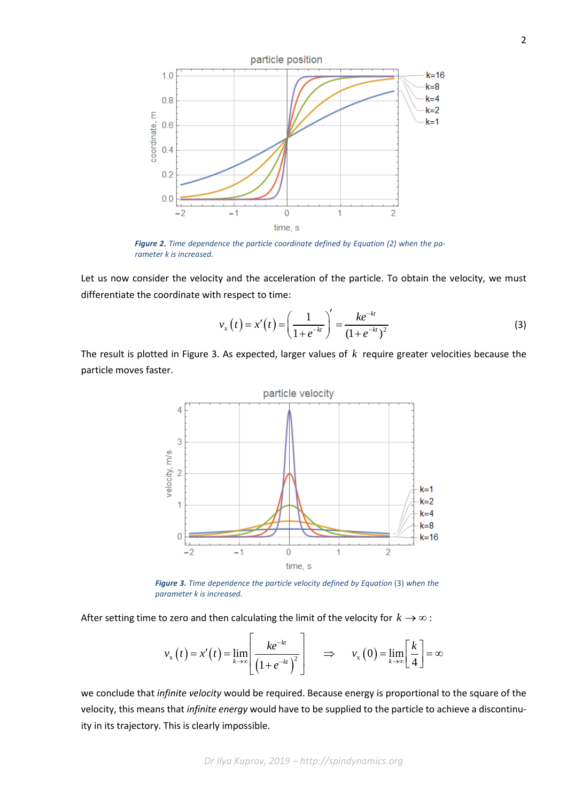

*Figure 2. Time dependence the particle coordinate defined by Equation (2) when the parameter k is increased.*

Let us now consider the velocity and the acceleration of the particle. To obtain the velocity, we must differentiate the coordinate with respect to time:

$$
v_{x}(t) = x'(t) = \left(\frac{1}{1 + e^{-kt}}\right)' = \frac{ke^{-kt}}{(1 + e^{-kt})^2}
$$
\n(3)

The result is plotted in Figure 3. As expected, larger values of *k* require greater velocities because the particle moves faster.



**Figure 3.** Time dependence the particle velocity defined by Equation (3) when the *parameter k is increased.*

After setting time to zero and then calculating the limit of the velocity for  $k \to \infty$ :  $\overline{a}$ 

$$
v_x(t) = x'(t) = \lim_{k \to \infty} \left[ \frac{ke^{-kt}}{\left(1 + e^{-kt}\right)^2} \right] \implies v_x(0) = \lim_{k \to \infty} \left[ \frac{k}{4} \right] = \infty
$$

we conclude that *infinite velocity* would be required. Because energy is proportional to the square of the velocity, this means that *infinite energy* would have to be supplied to the particle to achieve a discontinuity in its trajectory. This is clearly impossible.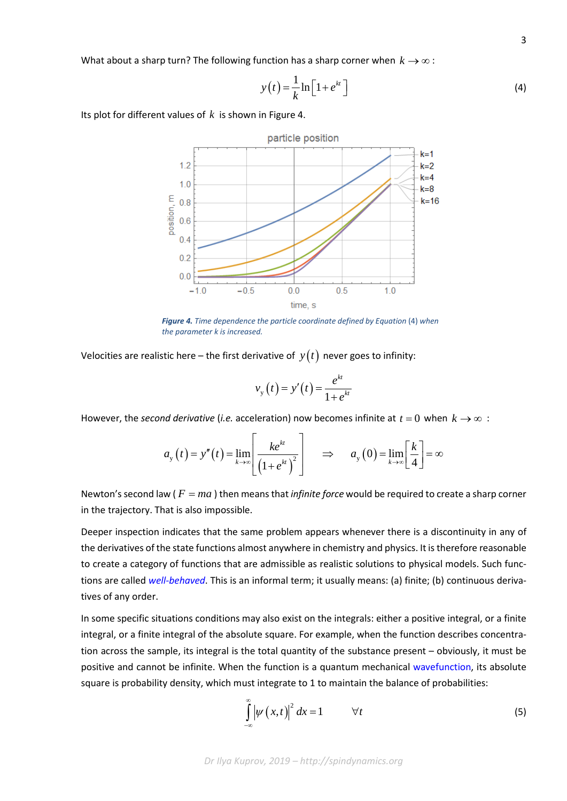What about a sharp turn? The following function has a sharp corner when  $k \rightarrow \infty$ :

$$
y(t) = \frac{1}{k} \ln \left[ 1 + e^{kt} \right]
$$
 (4)

Its plot for different values of *k* is shown in Figure 4.



*Figure 4. Time dependence the particle coordinate defined by Equation* (4) *when the parameter k is increased.*

Velocities are realistic here – the first derivative of  $y(t)$  never goes to infinity:

$$
v_{y}(t) = y'(t) = \frac{e^{kt}}{1 + e^{kt}}
$$

However, the *second derivative* (*i.e.* acceleration) now becomes infinite at  $t = 0$  when  $k \rightarrow \infty$ :

$$
a_{y}(t) = y''(t) = \lim_{k \to \infty} \left[ \frac{ke^{kt}}{\left(1 + e^{kt}\right)^{2}} \right] \implies a_{y}(0) = \lim_{k \to \infty} \left[ \frac{k}{4} \right] = \infty
$$

Newton's second law ( $F = ma$ ) then means that *infinite force* would be required to create a sharp corner in the trajectory. That is also impossible.

Deeper inspection indicates that the same problem appears whenever there is a discontinuity in any of the derivatives of the state functions almost anywhere in chemistry and physics. It is therefore reasonable to create a category of functions that are admissible as realistic solutions to physical models. Such functions are called *[well-behaved](http://mathworld.wolfram.com/ParticularlyWell-BehavedFunctions.html)*. This is an informal term; it usually means: (a) finite; (b) continuous derivatives of any order.

In some specific situations conditions may also exist on the integrals: either a positive integral, or a finite integral, or a finite integral of the absolute square. For example, when the function describes concentration across the sample, its integral is the total quantity of the substance present – obviously, it must be positive and cannot be infinite. When the function is a quantum mechanical [wavefunction,](https://en.wikipedia.org/wiki/Wave_function) its absolute square is probability density, which must integrate to 1 to maintain the balance of probabilities:

$$
\int_{-\infty}^{\infty} \left| \psi \left( x, t \right) \right|^2 dx = 1 \qquad \forall t \tag{5}
$$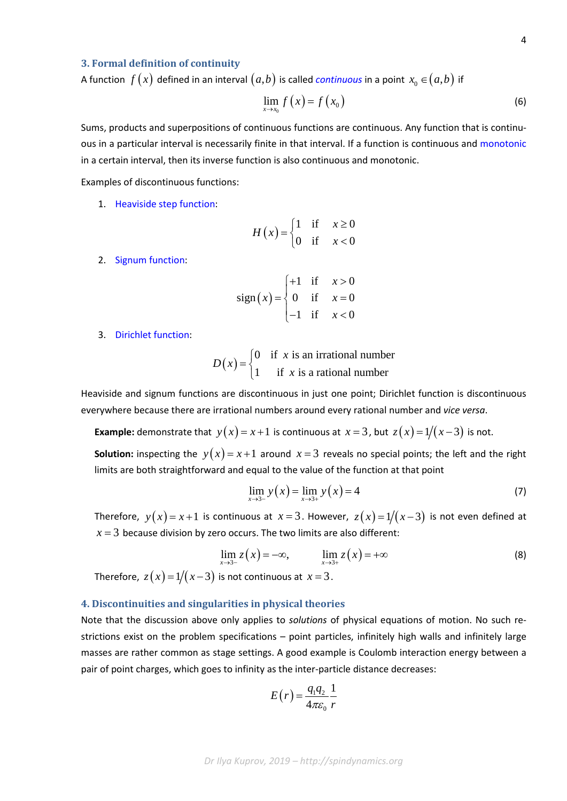## **3. Formal definition of continuity**

A function  $f(x)$  defined in an interval  $(a,b)$  is called *[continuous](https://en.wikipedia.org/wiki/Continuous_function)* in a point  $x_0 \in (a,b)$  if

$$
\lim_{x \to x_0} f\left(x\right) = f\left(x_0\right) \tag{6}
$$

Sums, products and superpositions of continuous functions are continuous. Any function that is continuous in a particular interval is necessarily finite in that interval. If a function is continuous and [monotonic](https://en.wikipedia.org/wiki/Monotonic_function) in a certain interval, then its inverse function is also continuous and monotonic.

Examples of discontinuous functions:

1. [Heaviside step function:](https://en.wikipedia.org/wiki/Heaviside_step_function)

$$
H(x) = \begin{cases} 1 & \text{if } x \ge 0 \\ 0 & \text{if } x < 0 \end{cases}
$$

2. [Signum function:](https://en.wikipedia.org/wiki/Sign_function)

$$
sign(x) = \begin{cases} +1 & \text{if } x > 0 \\ 0 & \text{if } x = 0 \\ -1 & \text{if } x < 0 \end{cases}
$$

3. Dirichlet [function:](http://mathworld.wolfram.com/DirichletFunction.html)

 $(x) =\begin{cases} 0 & \text{if } x \text{ is an irrational number} \\ 1 & \text{if } x \text{ is an irrational number} \end{cases}$ 1 if  $x$  is a rational number *x D x*  $=\begin{cases} 0 & \text{if } x \text{ is} \\ 1 & \text{if } x \end{cases}$  $\overline{\mathcal{L}}$ 

Heaviside and signum functions are discontinuous in just one point; Dirichlet function is discontinuous everywhere because there are irrational numbers around every rational number and *vice versa*.

**Example:** demonstrate that  $y(x) = x + 1$  is continuous at  $x = 3$ , but  $z(x) = 1/(x-3)$  is not.

**Solution:** inspecting the  $y(x) = x+1$  around  $x = 3$  reveals no special points; the left and the right limits are both straightforward and equal to the value of the function at that point

$$
\lim_{x \to 3^-} y(x) = \lim_{x \to 3^+} y(x) = 4
$$
\n(7)

Therefore,  $y(x) = x+1$  is continuous at  $x = 3$ . However,  $z(x) = 1/(x-3)$  is not even defined at  $x = 3$  because division by zero occurs. The two limits are also different:

$$
\lim_{x \to 3^-} z(x) = -\infty, \qquad \lim_{x \to 3^+} z(x) = +\infty
$$
\n(8)

\nTherefore,  $z(x) = 1/(x-3)$  is not continuous at  $x = 3$ .

**4. Discontinuities and singularities in physical theories**

# Note that the discussion above only applies to *solutions* of physical equations of motion. No such restrictions exist on the problem specifications – point particles, infinitely high walls and infinitely large masses are rather common as stage settings. A good example is Coulomb interaction energy between a pair of point charges, which goes to infinity as the inter-particle distance decreases:

$$
E(r) = \frac{q_1 q_2}{4\pi \varepsilon_0} \frac{1}{r}
$$